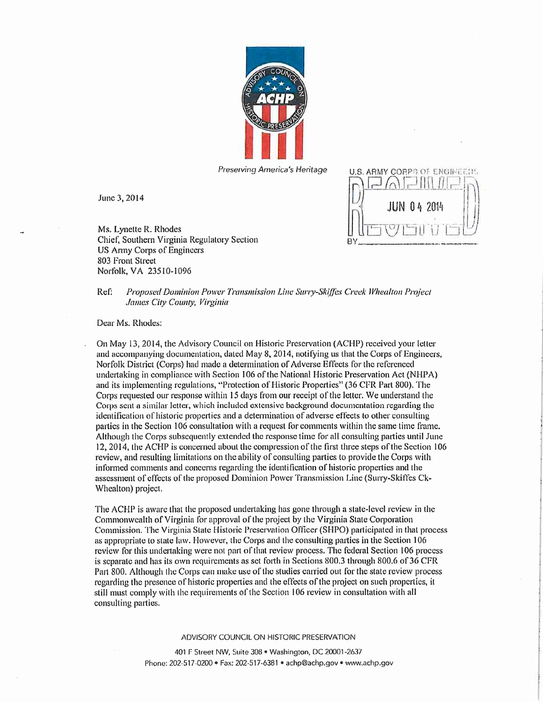

June 3, 2014

Ms. Lynette R. Rhodes Chief, Southern Virginia Regulatory Section US Army Corps of Engineers 803 Front Street Norfolk, VA 23510-1096

Preserving America's Heritage U.S. ARMY CORP'S OF ENGINEERS  $\Box$  ( )  $\Box$  $\mu$  /  $\alpha$  i. The internal internal internal internal internal internal internal internal internal internal internal internal internal internal internal internal internal internal internal internal internal internal inte  $\text{IIN}$  04

## Ref: Proposed Dominion Power Transmission Line Surry-Skiffes Creek Whealton Project James City County, Virginia

Dear Ms. Rhodes:

On May 13, 2014, the Advisory Council on Historic Preservation (ACHP) received your letter and accompanying documentation, dated May 8, 2014, notifying us that the Corps of Engineers, Norfolk District (Corps) had made a determination of Adverse Effects for the referenced undertaking in compliance with Section 106 ofthe National Historic Preservation Act (NHPA) and its implementing regulations, "Protection of Historic Properties" (36 CFR Part 800). The Corps requested our response within 15 days from our receipt of the letter. We understand the Corps sent a similar letter, which included extensive background documentation regarding the identification of historic properties and a detenuination of adverse effects to other consulting parties in the Section 106 consultation with a request for comments within the same time frame. Although the Corps subsequently extended the response time for all consulting parties until June 12, 2014, the ACHP is concerned about the compression of the first three steps of the Section 106 review, and resulting limitations on the ability of consulting parties to provide the Corps with informed comments and concerns regarding the identification of historic properties and the assessment of effects of the proposed Dominion Power Transmission Line (Surry-Skiffes Ck-Whealton) project.

The ACHP is aware that the proposed undertaking has gone through a state-level review in the Commonwealth of Virginia for approval of the project by the Virginia State Corporation Commission. The Virginia State Historic Preservation Officer (SHPO) participated in that process as appropriate to state law. However, the Corps and the consulting parties in the Section 106 review for this undertaking were not part of that review process. The federal Section 106 process is separate and has its own requirements as set forth in Sections 800.3 through 800.6 of 36 CFR Pan 800. Although the Corps can make use of the studies carried out for the state review process regarding the presence of historic properties and the effects of the project on such properties, it still nuisl comply with the requirements of the Section 106 review in consultation with all consulling parties,

ADVISORY COUNCIL ON HISTORIC PRESERVATION

401 F Street NW, Suite 308 • Washington, DC 20001 -2637 Phone: 202-517-0200 • Fax: 202-517-6381 • achp@achp.gov • wmv.achp.gov